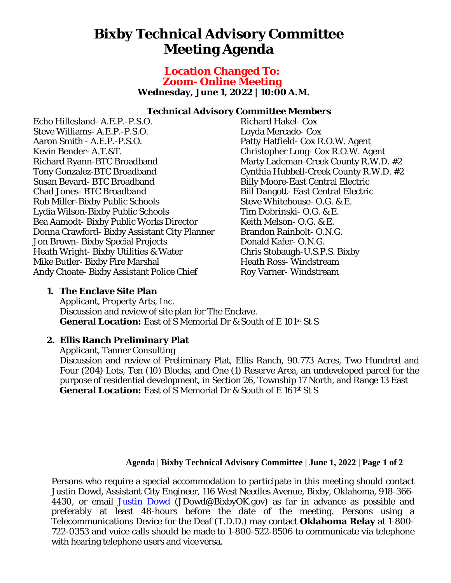# **Bixby Technical Advisory Committee Meeting Agenda**

## **Location Changed To: Zoom- Online Meeting Wednesday, June 1, 2022 | 10:00 A.M.**

#### **Technical Advisory Committee Members**

Echo Hillesland- A.E.P.-P.S.O. Steve Williams- A.E.P.-P.S.O. Aaron Smith - A.E.P.-P.S.O. Kevin Bender- A.T.&T. Richard Ryann-BTC Broadband Tony Gonzalez-BTC Broadband Susan Bevard- BTC Broadband Chad Jones- BTC Broadband Rob Miller-Bixby Public Schools Lydia Wilson-Bixby Public Schools Bea Aamodt- Bixby Public Works Director Donna Crawford- Bixby Assistant City Planner Jon Brown- Bixby Special Projects Heath Wright- Bixby Utilities & Water Mike Butler- Bixby Fire Marshal Andy Choate- Bixby Assistant Police Chief

Richard Hakel- Cox Loyda Mercado- Cox Patty Hatfield- Cox R.O.W. Agent Christopher Long- Cox R.O.W. Agent Marty Lademan-Creek County R.W.D. #2 Cynthia Hubbell-Creek County R.W.D. #2 Billy Moore-East Central Electric Bill Dangott- East Central Electric Steve Whitehouse- O.G. & E. Tim Dobrinski- O.G. & E. Keith Melson- O.G. & E. Brandon Rainbolt- O.N.G. Donald Kafer- O.N.G. Chris Stobaugh-U.S.P.S. Bixby Heath Ross- Windstream Roy Varner- Windstream

## **1. The Enclave Site Plan**

Applicant, Property Arts, Inc. Discussion and review of site plan for The Enclave. General Location: East of S Memorial Dr & South of E 101st St S

# **2. Ellis Ranch Preliminary Plat**

Applicant, Tanner Consulting Discussion and review of Preliminary Plat, Ellis Ranch, 90.773 Acres, Two Hundred and Four (204) Lots, Ten (10) Blocks, and One (1) Reserve Area, an undeveloped parcel for the purpose of residential development, in Section 26, Township 17 North, and Range 13 East General Location: East of S Memorial Dr & South of E 161st St S

### **Agenda | Bixby Technical Advisory Committee | June 1, 2022 | Page 1 of 2**

Persons who require a special accommodation to participate in this meeting should contact Justin Dowd, Assistant City Engineer, 116 West Needles Avenue, Bixby, Oklahoma, 918-366- 4430, or email [Justin Dowd](mailto:JDowd@BixbyOK.gov) (JDowd@BixbyOK.gov) as far in advance as possible and preferably at least 48-hours before the date of the meeting. Persons using a Telecommunications Device for the Deaf (T.D.D.) may contact **Oklahoma Relay** at 1-800- 722-0353 and voice calls should be made to 1-800-522-8506 to communicate via telephone with hearing telephone users and vice versa.